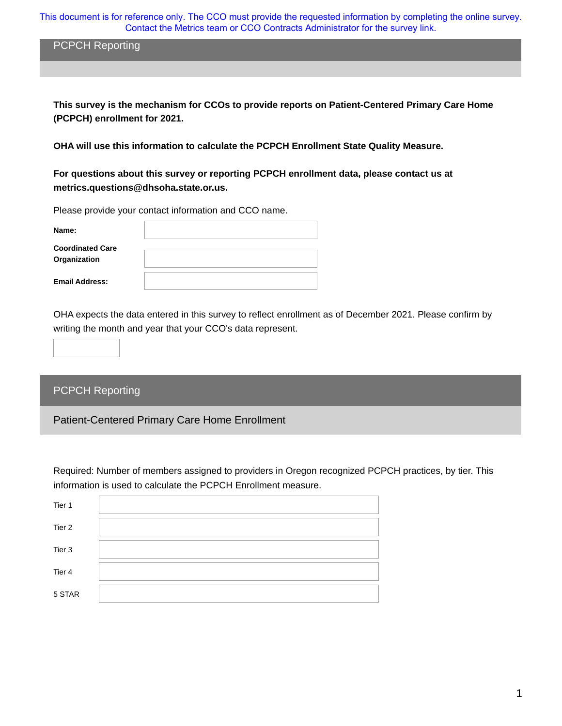This document is for reference only. The CCO must provide the requested information by completing the online survey. Contact the Metrics team or CCO Contracts Administrator for the survey link.

PCPCH Reporting

**This survey is the mechanism for CCOs to provide reports on Patient-Centered Primary Care Home (PCPCH) enrollment for 2021.** 

**OHA will use this information to calculate the PCPCH Enrollment State Quality Measure.**

**For questions about this survey or reporting PCPCH enrollment data, please contact us at metrics.questions@dhsoha.state.or.us.** 

Please provide your contact information and CCO name.

| Name:                                   |  |
|-----------------------------------------|--|
| <b>Coordinated Care</b><br>Organization |  |
| <b>Email Address:</b>                   |  |

OHA expects the data entered in this survey to reflect enrollment as of December 2021. Please confirm by writing the month and year that your CCO's data represent.

## PCPCH Reporting

Patient-Centered Primary Care Home Enrollment

Required: Number of members assigned to providers in Oregon recognized PCPCH practices, by tier. This information is used to calculate the PCPCH Enrollment measure.

| Tier 1 |  |
|--------|--|
| Tier 2 |  |
| Tier 3 |  |
| Tier 4 |  |
| 5 STAR |  |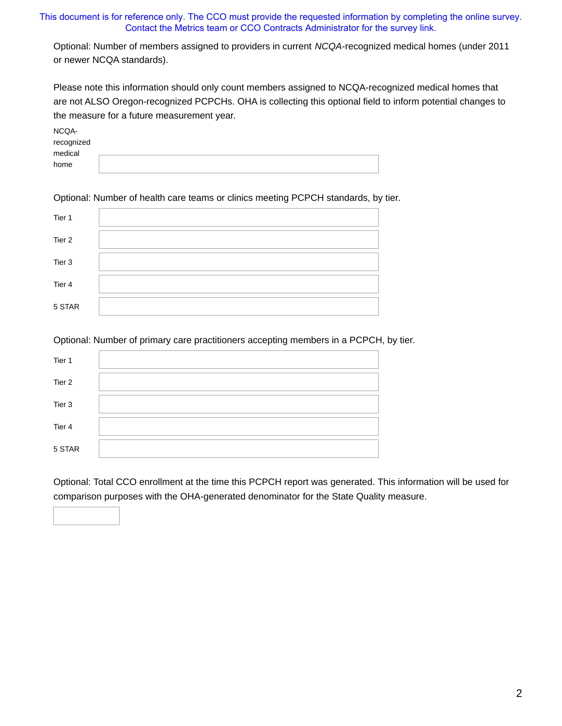## This document is for reference only. The CCO must provide the requested information by completing the online survey. Contact the Metrics team or CCO Contracts Administrator for the survey link.

Optional: Number of members assigned to providers in current *NCQA-*recognized medical homes (under 2011 or newer NCQA standards).

Please note this information should only count members assigned to NCQA-recognized medical homes that are not ALSO Oregon-recognized PCPCHs. OHA is collecting this optional field to inform potential changes to the measure for a future measurement year.

| NCQA-      |  |
|------------|--|
| recognized |  |
| medical    |  |
| home       |  |

Optional: Number of health care teams or clinics meeting PCPCH standards, by tier.

| Tier 1 |  |
|--------|--|
| Tier 2 |  |
| Tier 3 |  |
| Tier 4 |  |
| 5 STAR |  |

Optional: Number of primary care practitioners accepting members in a PCPCH, by tier.

| Tier 1 |  |
|--------|--|
| Tier 2 |  |
| Tier 3 |  |
| Tier 4 |  |
| 5 STAR |  |

Optional: Total CCO enrollment at the time this PCPCH report was generated. This information will be used for comparison purposes with the OHA-generated denominator for the State Quality measure.